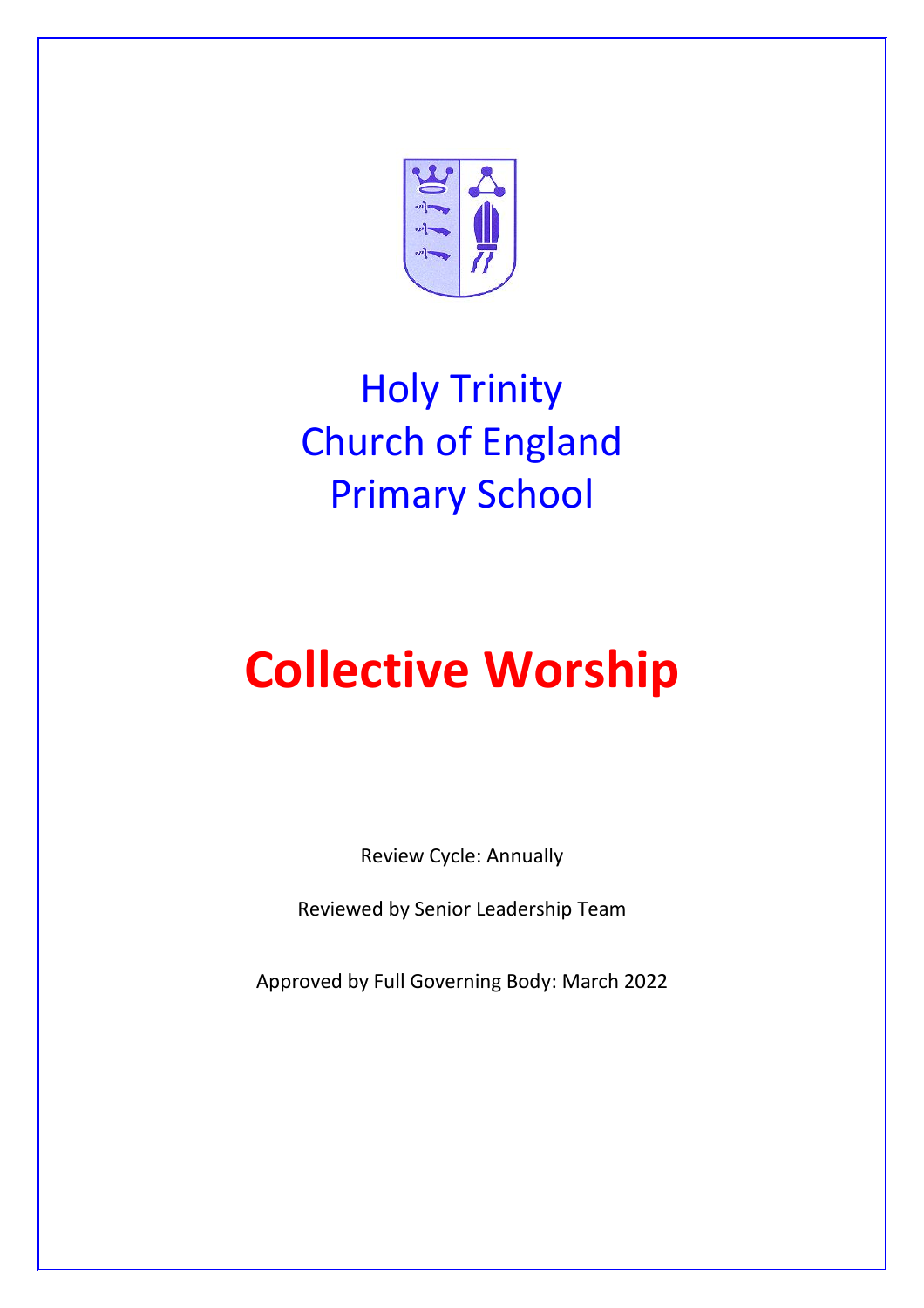

## Holy Trinity Church of England Primary School

# **Collective Worship**

Review Cycle: Annually

Reviewed by Senior Leadership Team

Approved by Full Governing Body: March 2022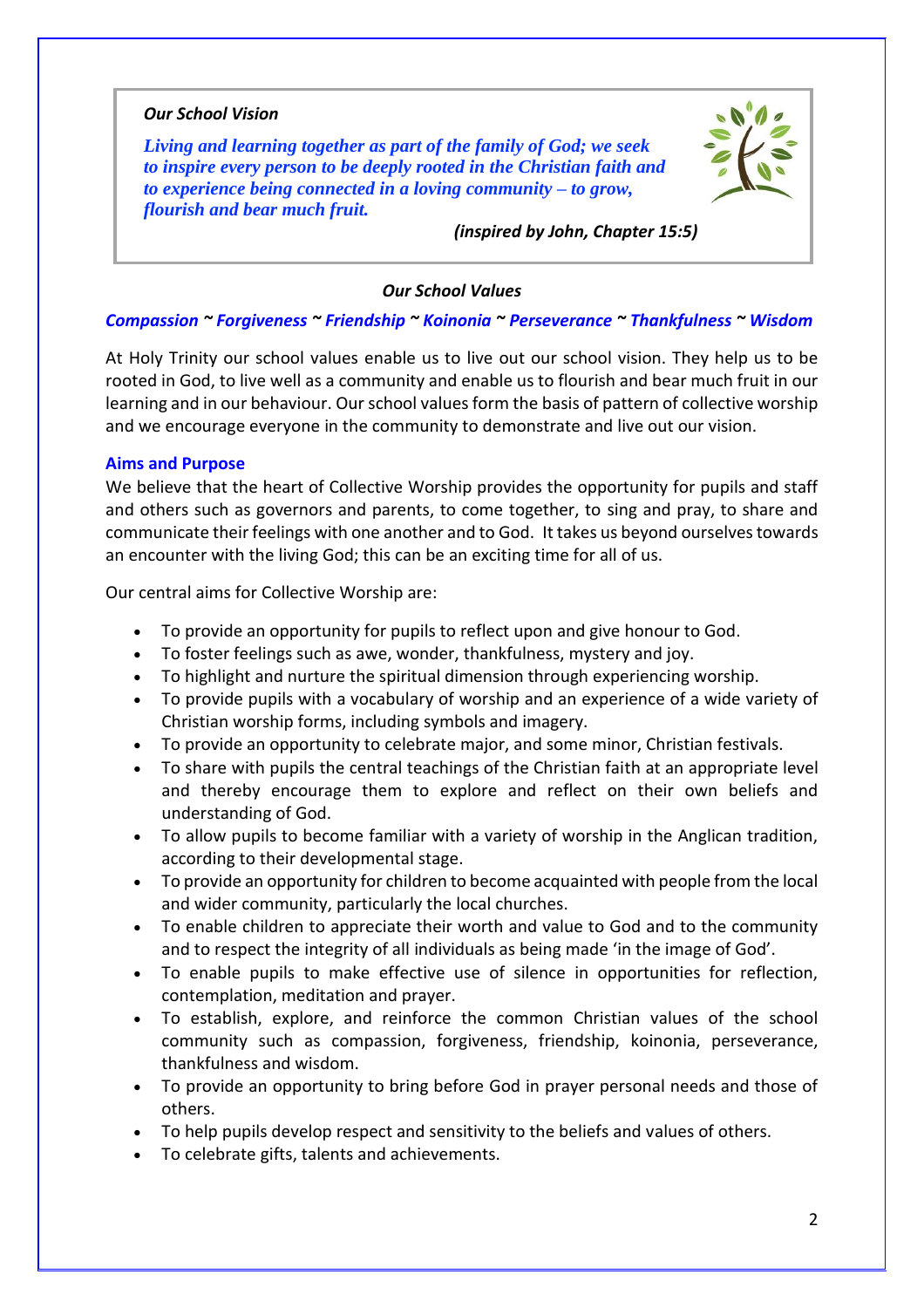#### *Our School Vision*

*Living and learning together as part of the family of God; we seek to inspire every person to be deeply rooted in the Christian faith and to experience being connected in a loving community – to grow, flourish and bear much fruit.*



*(inspired by John, Chapter 15:5)*

#### *Our School Values*

#### *Compassion ~ Forgiveness ~ Friendship ~ Koinonia ~ Perseverance ~ Thankfulness ~ Wisdom*

At Holy Trinity our school values enable us to live out our school vision. They help us to be rooted in God, to live well as a community and enable us to flourish and bear much fruit in our learning and in our behaviour. Our school values form the basis of pattern of collective worship and we encourage everyone in the community to demonstrate and live out our vision.

#### **Aims and Purpose**

We believe that the heart of Collective Worship provides the opportunity for pupils and staff and others such as governors and parents, to come together, to sing and pray, to share and communicate their feelings with one another and to God. It takes us beyond ourselves towards an encounter with the living God; this can be an exciting time for all of us.

Our central aims for Collective Worship are:

- To provide an opportunity for pupils to reflect upon and give honour to God.
- To foster feelings such as awe, wonder, thankfulness, mystery and joy.
- To highlight and nurture the spiritual dimension through experiencing worship.
- To provide pupils with a vocabulary of worship and an experience of a wide variety of Christian worship forms, including symbols and imagery.
- To provide an opportunity to celebrate major, and some minor, Christian festivals.
- To share with pupils the central teachings of the Christian faith at an appropriate level and thereby encourage them to explore and reflect on their own beliefs and understanding of God.
- To allow pupils to become familiar with a variety of worship in the Anglican tradition, according to their developmental stage.
- To provide an opportunity for children to become acquainted with people from the local and wider community, particularly the local churches.
- To enable children to appreciate their worth and value to God and to the community and to respect the integrity of all individuals as being made 'in the image of God'.
- To enable pupils to make effective use of silence in opportunities for reflection, contemplation, meditation and prayer.
- To establish, explore, and reinforce the common Christian values of the school community such as compassion, forgiveness, friendship, koinonia, perseverance, thankfulness and wisdom.
- To provide an opportunity to bring before God in prayer personal needs and those of others.
- To help pupils develop respect and sensitivity to the beliefs and values of others.
- To celebrate gifts, talents and achievements.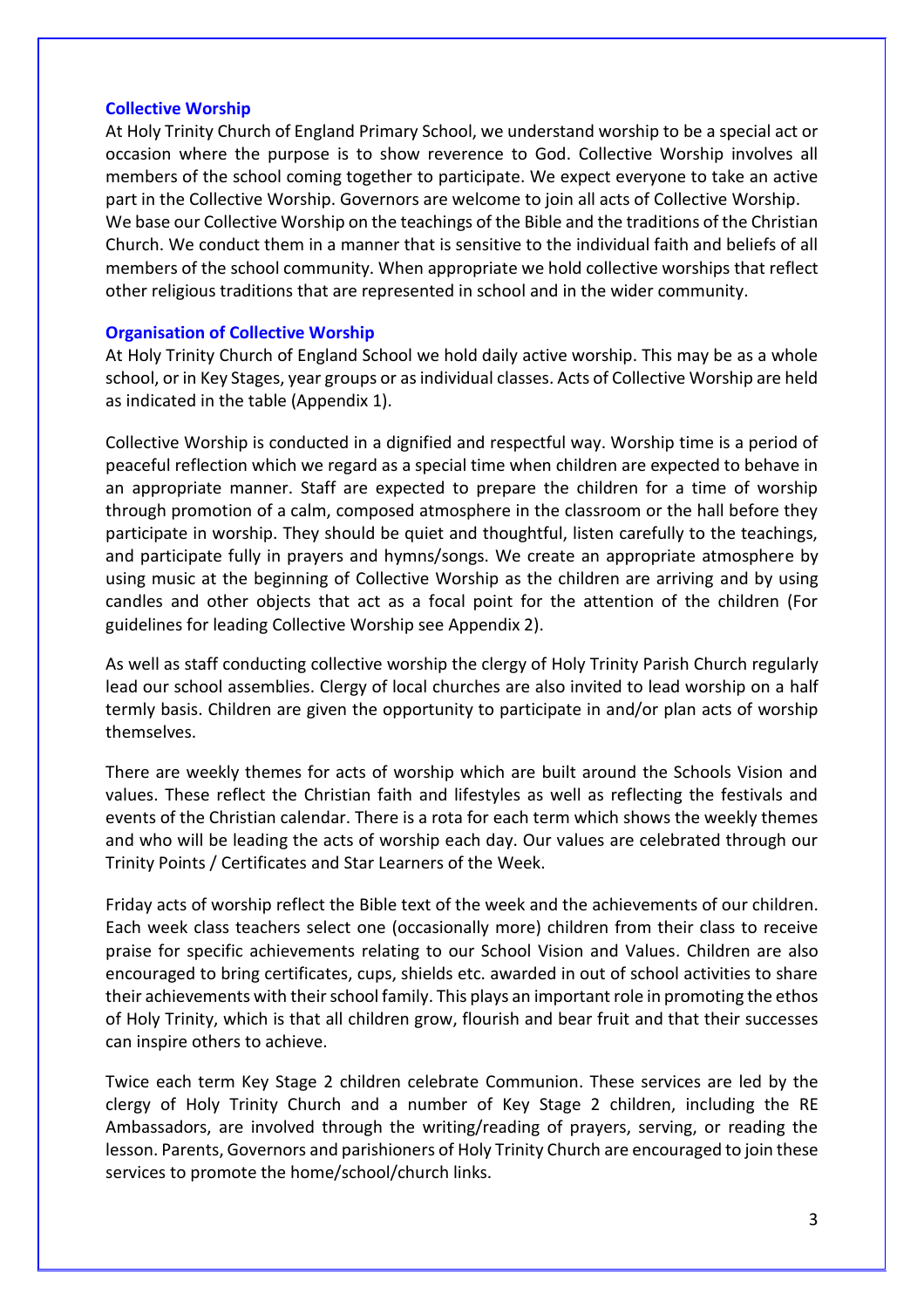#### **Collective Worship**

At Holy Trinity Church of England Primary School, we understand worship to be a special act or occasion where the purpose is to show reverence to God. Collective Worship involves all members of the school coming together to participate. We expect everyone to take an active part in the Collective Worship. Governors are welcome to join all acts of Collective Worship. We base our Collective Worship on the teachings of the Bible and the traditions of the Christian Church. We conduct them in a manner that is sensitive to the individual faith and beliefs of all members of the school community. When appropriate we hold collective worships that reflect other religious traditions that are represented in school and in the wider community.

#### **Organisation of Collective Worship**

At Holy Trinity Church of England School we hold daily active worship. This may be as a whole school, or in Key Stages, year groups or as individual classes. Acts of Collective Worship are held as indicated in the table (Appendix 1).

Collective Worship is conducted in a dignified and respectful way. Worship time is a period of peaceful reflection which we regard as a special time when children are expected to behave in an appropriate manner. Staff are expected to prepare the children for a time of worship through promotion of a calm, composed atmosphere in the classroom or the hall before they participate in worship. They should be quiet and thoughtful, listen carefully to the teachings, and participate fully in prayers and hymns/songs. We create an appropriate atmosphere by using music at the beginning of Collective Worship as the children are arriving and by using candles and other objects that act as a focal point for the attention of the children (For guidelines for leading Collective Worship see Appendix 2).

As well as staff conducting collective worship the clergy of Holy Trinity Parish Church regularly lead our school assemblies. Clergy of local churches are also invited to lead worship on a half termly basis. Children are given the opportunity to participate in and/or plan acts of worship themselves.

There are weekly themes for acts of worship which are built around the Schools Vision and values. These reflect the Christian faith and lifestyles as well as reflecting the festivals and events of the Christian calendar. There is a rota for each term which shows the weekly themes and who will be leading the acts of worship each day. Our values are celebrated through our Trinity Points / Certificates and Star Learners of the Week.

Friday acts of worship reflect the Bible text of the week and the achievements of our children. Each week class teachers select one (occasionally more) children from their class to receive praise for specific achievements relating to our School Vision and Values. Children are also encouraged to bring certificates, cups, shields etc. awarded in out of school activities to share their achievements with their school family. This plays an important role in promoting the ethos of Holy Trinity, which is that all children grow, flourish and bear fruit and that their successes can inspire others to achieve.

Twice each term Key Stage 2 children celebrate Communion. These services are led by the clergy of Holy Trinity Church and a number of Key Stage 2 children, including the RE Ambassadors, are involved through the writing/reading of prayers, serving, or reading the lesson. Parents, Governors and parishioners of Holy Trinity Church are encouraged to join these services to promote the home/school/church links.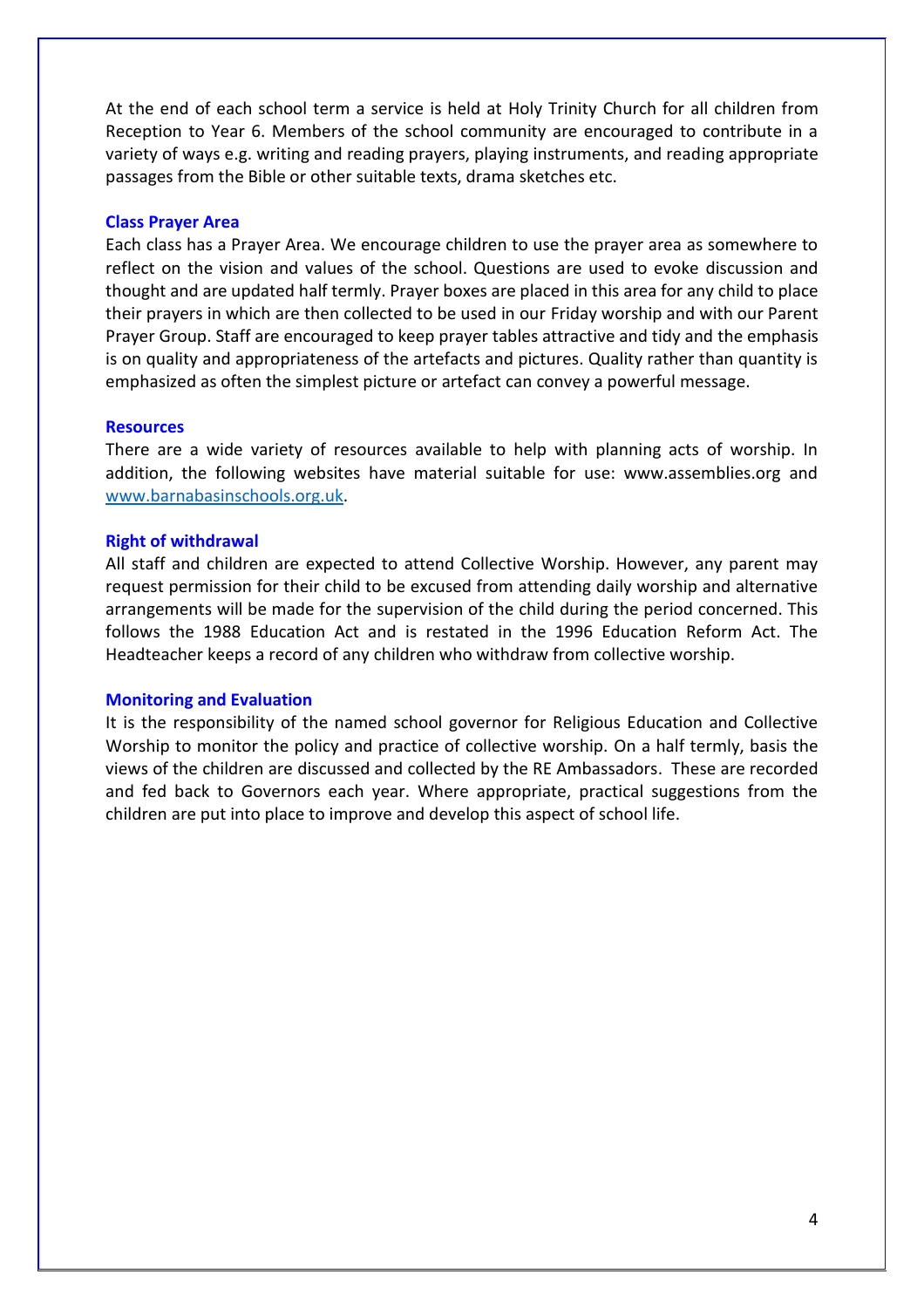At the end of each school term a service is held at Holy Trinity Church for all children from Reception to Year 6. Members of the school community are encouraged to contribute in a variety of ways e.g. writing and reading prayers, playing instruments, and reading appropriate passages from the Bible or other suitable texts, drama sketches etc.

#### **Class Prayer Area**

Each class has a Prayer Area. We encourage children to use the prayer area as somewhere to reflect on the vision and values of the school. Questions are used to evoke discussion and thought and are updated half termly. Prayer boxes are placed in this area for any child to place their prayers in which are then collected to be used in our Friday worship and with our Parent Prayer Group. Staff are encouraged to keep prayer tables attractive and tidy and the emphasis is on quality and appropriateness of the artefacts and pictures. Quality rather than quantity is emphasized as often the simplest picture or artefact can convey a powerful message.

#### **Resources**

There are a wide variety of resources available to help with planning acts of worship. In addition, the following websites have material suitable for use: www.assemblies.org and [www.barnabasinschools.org.uk.](http://www.barnabasinschools.org.uk/)

#### **Right of withdrawal**

All staff and children are expected to attend Collective Worship. However, any parent may request permission for their child to be excused from attending daily worship and alternative arrangements will be made for the supervision of the child during the period concerned. This follows the 1988 Education Act and is restated in the 1996 Education Reform Act. The Headteacher keeps a record of any children who withdraw from collective worship.

#### **Monitoring and Evaluation**

It is the responsibility of the named school governor for Religious Education and Collective Worship to monitor the policy and practice of collective worship. On a half termly, basis the views of the children are discussed and collected by the RE Ambassadors. These are recorded and fed back to Governors each year. Where appropriate, practical suggestions from the children are put into place to improve and develop this aspect of school life.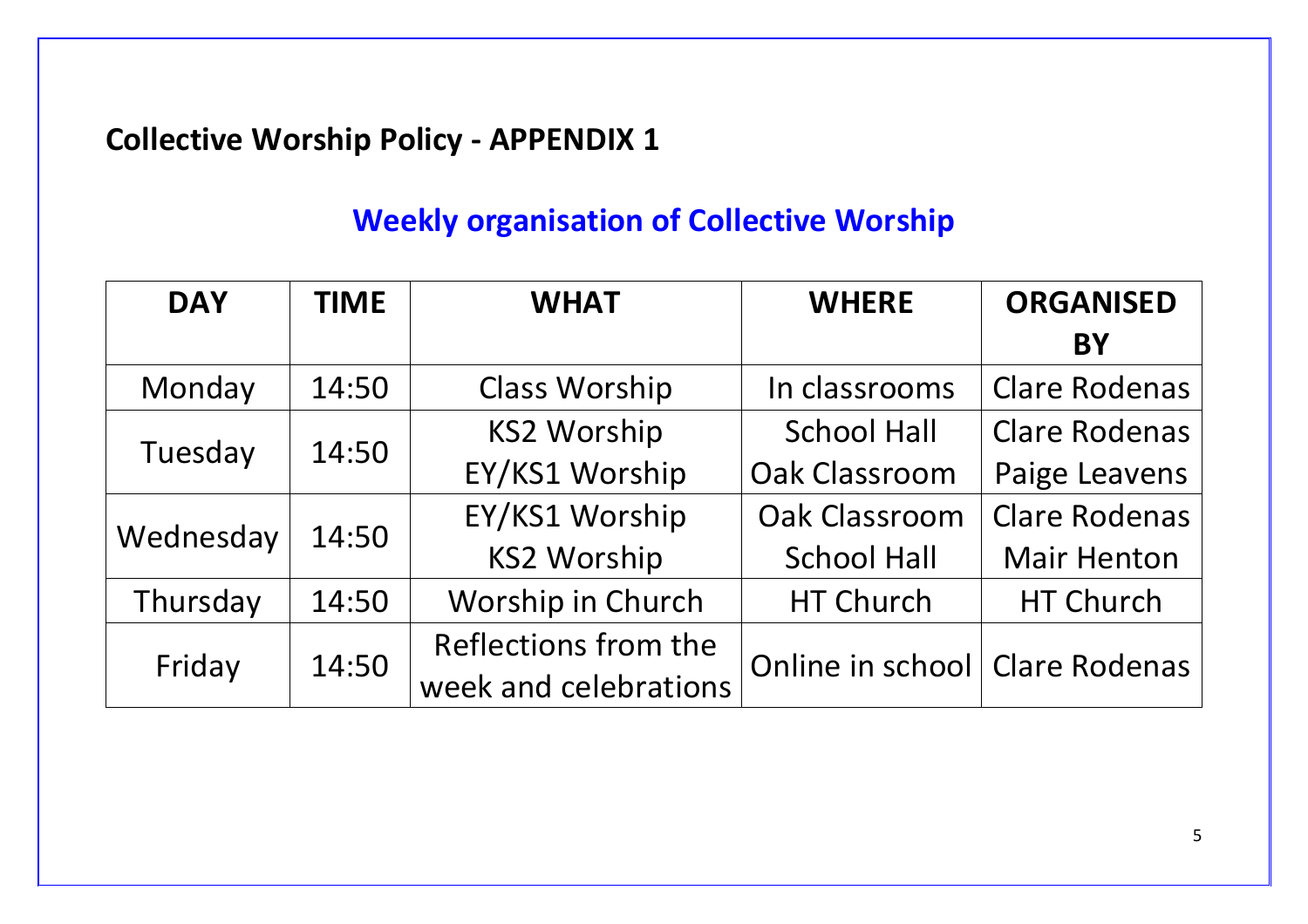### **Collective Worship Policy - APPENDIX 1**

## **Weekly organisation of Collective Worship**

| <b>DAY</b> | <b>TIME</b> | <b>WHAT</b>           | <b>WHERE</b>                   | <b>ORGANISED</b>     |
|------------|-------------|-----------------------|--------------------------------|----------------------|
|            |             |                       |                                | <b>BY</b>            |
| Monday     | 14:50       | <b>Class Worship</b>  | In classrooms                  | <b>Clare Rodenas</b> |
| Tuesday    | 14:50       | <b>KS2 Worship</b>    | <b>School Hall</b>             | <b>Clare Rodenas</b> |
|            |             | EY/KS1 Worship        | Oak Classroom                  | Paige Leavens        |
| Wednesday  | 14:50       | EY/KS1 Worship        | Oak Classroom                  | <b>Clare Rodenas</b> |
|            |             | <b>KS2 Worship</b>    | <b>School Hall</b>             | <b>Mair Henton</b>   |
| Thursday   | 14:50       | Worship in Church     | HT Church                      | HT Church            |
| Friday     | 14:50       | Reflections from the  | Online in school Clare Rodenas |                      |
|            |             | week and celebrations |                                |                      |